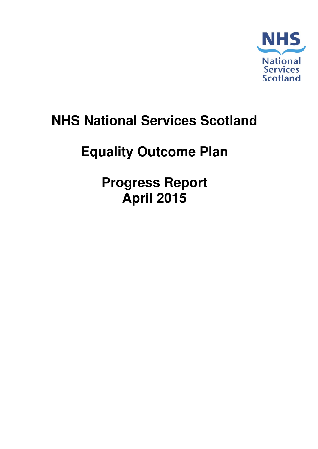

# **NHS National Services Scotland**

# **Equality Outcome Plan**

**Progress Report April 2015**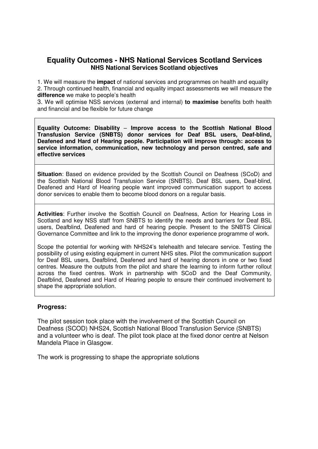# **Equality Outcomes - NHS National Services Scotland Services NHS National Services Scotland objectives**

1. We will measure the **impact** of national services and programmes on health and equality 2. Through continued health, financial and equality impact assessments we will measure the **difference** we make to people's health

3. We will optimise NSS services (external and internal) **to maximise** benefits both health and financial and be flexible for future change

**Equality Outcome: Disability** – **Improve access to the Scottish National Blood Transfusion Service (SNBTS) donor services for Deaf BSL users, Deaf-blind, Deafened and Hard of Hearing people. Participation will improve through: access to service information, communication, new technology and person centred, safe and effective services** 

**Situation**: Based on evidence provided by the Scottish Council on Deafness (SCoD) and the Scottish National Blood Transfusion Service (SNBTS). Deaf BSL users, Deaf-blind, Deafened and Hard of Hearing people want improved communication support to access donor services to enable them to become blood donors on a regular basis.

**Activities**: Further involve the Scottish Council on Deafness, Action for Hearing Loss in Scotland and key NSS staff from SNBTS to identify the needs and barriers for Deaf BSL users, Deafblind, Deafened and hard of hearing people. Present to the SNBTS Clinical Governance Committee and link to the improving the donor experience programme of work.

Scope the potential for working with NHS24's telehealth and telecare service. Testing the possibility of using existing equipment in current NHS sites. Pilot the communication support for Deaf BSL users, Deafblind, Deafened and hard of hearing donors in one or two fixed centres. Measure the outputs from the pilot and share the learning to inform further rollout across the fixed centres. Work in partnership with SCoD and the Deaf Community, Deafblind, Deafened and Hard of Hearing people to ensure their continued involvement to shape the appropriate solution.

### **Progress:**

The pilot session took place with the involvement of the Scottish Council on Deafness (SCOD) NHS24, Scottish National Blood Transfusion Service (SNBTS) and a volunteer who is deaf. The pilot took place at the fixed donor centre at Nelson Mandela Place in Glasgow.

The work is progressing to shape the appropriate solutions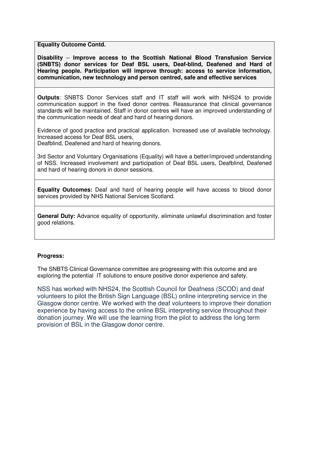**Equality Outcome Contd.**

**Disability** – **Improve access to the Scottish National Blood Transfusion Service (SNBTS) donor services for Deaf BSL users, Deaf-blind, Deafened and Hard of Hearing people. Participation will improve through: access to service information, communication, new technology and person centred, safe and effective services**

**Outputs**: SNBTS Donor Services staff and IT staff will work with NHS24 to provide communication support in the fixed donor centres. Reassurance that clinical governance standards will be maintained. Staff in donor centres will have an improved understanding of the communication needs of deaf and hard of hearing donors.

Evidence of good practice and practical application. Increased use of available technology. Increased access for Deaf BSL users,

Deafblind, Deafened and hard of hearing donors.

3rd Sector and Voluntary Organisations (Equality) will have a better/improved understanding of NSS. Increased involvement and participation of Deaf BSL users, Deafblind, Deafened and hard of hearing donors in donor sessions.

**Equality Outcomes:** Deaf and hard of hearing people will have access to blood donor services provided by NHS National Services Scotland.

**General Duty:** Advance equality of opportunity, eliminate unlawful discrimination and foster good relations.

#### **Progress:**

The SNBTS Clinical Governance committee are progressing with this outcome and are exploring the potential IT solutions to ensure positive donor experience and safety.

NSS has worked with NHS24, the Scottish Council for Deafness (SCOD) and deaf volunteers to pilot the British Sign Language (BSL) online interpreting service in the Glasgow donor centre. We worked with the deaf volunteers to improve their donation experience by having access to the online BSL interpreting service throughout their donation journey. We will use the learning from the pilot to address the long term provision of BSL in the Glasgow donor centre.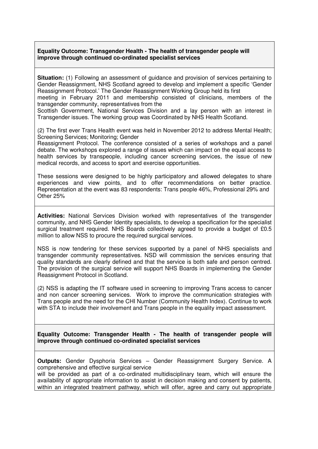#### **Equality Outcome: Transgender Health - The health of transgender people will improve through continued co-ordinated specialist services**

**Situation:** (1) Following an assessment of guidance and provision of services pertaining to Gender Reassignment, NHS Scotland agreed to develop and implement a specific 'Gender Reassignment Protocol.' The Gender Reassignment Working Group held its first

meeting in February 2011 and membership consisted of clinicians, members of the transgender community, representatives from the

Scottish Government, National Services Division and a lay person with an interest in Transgender issues. The working group was Coordinated by NHS Health Scotland.

(2) The first ever Trans Health event was held in November 2012 to address Mental Health; Screening Services; Monitoring; Gender

Reassignment Protocol. The conference consisted of a series of workshops and a panel debate. The workshops explored a range of issues which can impact on the equal access to health services by transpeople, including cancer screening services, the issue of new medical records, and access to sport and exercise opportunities.

These sessions were designed to be highly participatory and allowed delegates to share experiences and view points, and to offer recommendations on better practice. Representation at the event was 83 respondents: Trans people 46%, Professional 29% and Other 25%

**Activities:** National Services Division worked with representatives of the transgender community, and NHS Gender Identity specialists, to develop a specification for the specialist surgical treatment required. NHS Boards collectively agreed to provide a budget of £0.5 million to allow NSS to procure the required surgical services.

NSS is now tendering for these services supported by a panel of NHS specialists and transgender community representatives. NSD will commission the services ensuring that quality standards are clearly defined and that the service is both safe and person centred. The provision of the surgical service will support NHS Boards in implementing the Gender Reassignment Protocol in Scotland.

(2) NSS is adapting the IT software used in screening to improving Trans access to cancer and non cancer screening services. Work to improve the communication strategies with Trans people and the need for the CHI Number (Community Health Index). Continue to work with STA to include their involvement and Trans people in the equality impact assessment.

**Equality Outcome: Transgender Health - The health of transgender people will improve through continued co-ordinated specialist services** 

**Outputs:** Gender Dysphoria Services – Gender Reassignment Surgery Service. A comprehensive and effective surgical service

will be provided as part of a co-ordinated multidisciplinary team, which will ensure the availability of appropriate information to assist in decision making and consent by patients, within an integrated treatment pathway, which will offer, agree and carry out appropriate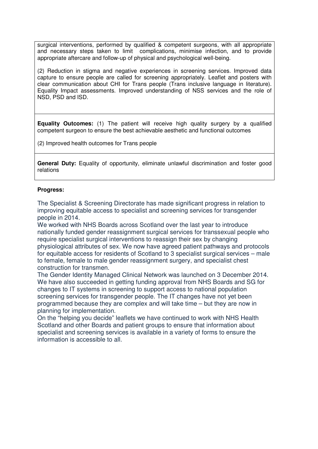surgical interventions, performed by qualified & competent surgeons, with all appropriate and necessary steps taken to limit complications, minimise infection, and to provide appropriate aftercare and follow-up of physical and psychological well-being.

(2) Reduction in stigma and negative experiences in screening services. Improved data capture to ensure people are called for screening appropriately. Leaflet and posters with clear communication about CHI for Trans people (Trans inclusive language in literature). Equality Impact assessments. Improved understanding of NSS services and the role of NSD, PSD and ISD.

**Equality Outcomes:** (1) The patient will receive high quality surgery by a qualified competent surgeon to ensure the best achievable aesthetic and functional outcomes

(2) Improved health outcomes for Trans people

**General Duty:** Equality of opportunity, eliminate unlawful discrimination and foster good relations

#### **Progress:**

The Specialist & Screening Directorate has made significant progress in relation to improving equitable access to specialist and screening services for transgender people in 2014.

We worked with NHS Boards across Scotland over the last year to introduce nationally funded gender reassignment surgical services for transsexual people who require specialist surgical interventions to reassign their sex by changing physiological attributes of sex. We now have agreed patient pathways and protocols for equitable access for residents of Scotland to 3 specialist surgical services – male to female, female to male gender reassignment surgery, and specialist chest construction for transmen.

The Gender Identity Managed Clinical Network was launched on 3 December 2014. We have also succeeded in getting funding approval from NHS Boards and SG for changes to IT systems in screening to support access to national population screening services for transgender people. The IT changes have not yet been programmed because they are complex and will take time – but they are now in planning for implementation.

On the "helping you decide" leaflets we have continued to work with NHS Health Scotland and other Boards and patient groups to ensure that information about specialist and screening services is available in a variety of forms to ensure the information is accessible to all.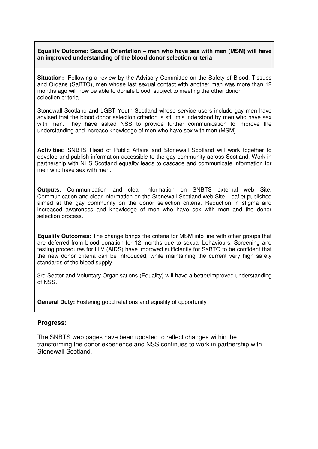## **Equality Outcome: Sexual Orientation – men who have sex with men (MSM) will have an improved understanding of the blood donor selection criteria**

**Situation:** Following a review by the Advisory Committee on the Safety of Blood, Tissues and Organs (SaBTO), men whose last sexual contact with another man was more than 12 months ago will now be able to donate blood, subject to meeting the other donor selection criteria.

Stonewall Scotland and LGBT Youth Scotland whose service users include gay men have advised that the blood donor selection criterion is still misunderstood by men who have sex with men. They have asked NSS to provide further communication to improve the understanding and increase knowledge of men who have sex with men (MSM).

**Activities:** SNBTS Head of Public Affairs and Stonewall Scotland will work together to develop and publish information accessible to the gay community across Scotland. Work in partnership with NHS Scotland equality leads to cascade and communicate information for men who have sex with men.

**Outputs:** Communication and clear information on SNBTS external web Site. Communication and clear information on the Stonewall Scotland web Site. Leaflet published aimed at the gay community on the donor selection criteria. Reduction in stigma and increased awareness and knowledge of men who have sex with men and the donor selection process.

**Equality Outcomes:** The change brings the criteria for MSM into line with other groups that are deferred from blood donation for 12 months due to sexual behaviours. Screening and testing procedures for HIV (AIDS) have improved sufficiently for SaBTO to be confident that the new donor criteria can be introduced, while maintaining the current very high safety standards of the blood supply.

3rd Sector and Voluntary Organisations (Equality) will have a better/improved understanding of NSS.

**General Duty:** Fostering good relations and equality of opportunity

### **Progress:**

The SNBTS web pages have been updated to reflect changes within the transforming the donor experience and NSS continues to work in partnership with Stonewall Scotland.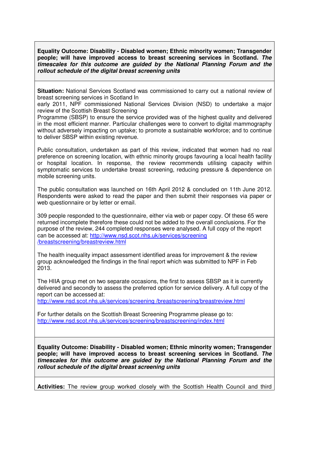**Equality Outcome: Disability - Disabled women; Ethnic minority women; Transgender people; will have improved access to breast screening services in Scotland. The timescales for this outcome are guided by the National Planning Forum and the rollout schedule of the digital breast screening units** 

**Situation:** National Services Scotland was commissioned to carry out a national review of breast screening services in Scotland In

early 2011, NPF commissioned National Services Division (NSD) to undertake a major review of the Scottish Breast Screening

Programme (SBSP) to ensure the service provided was of the highest quality and delivered in the most efficient manner. Particular challenges were to convert to digital mammography without adversely impacting on uptake; to promote a sustainable workforce; and to continue to deliver SBSP within existing revenue.

Public consultation, undertaken as part of this review, indicated that women had no real preference on screening location, with ethnic minority groups favouring a local health facility or hospital location. In response, the review recommends utilising capacity within symptomatic services to undertake breast screening, reducing pressure & dependence on mobile screening units.

The public consultation was launched on 16th April 2012 & concluded on 11th June 2012. Respondents were asked to read the paper and then submit their responses via paper or web questionnaire or by letter or email.

309 people responded to the questionnaire, either via web or paper copy. Of these 65 were returned incomplete therefore these could not be added to the overall conclusions. For the purpose of the review, 244 completed responses were analysed. A full copy of the report can be accessed at: http://www.nsd.scot.nhs.uk/services/screening /breastscreening/breastreview.html

The health inequality impact assessment identified areas for improvement & the review group acknowledged the findings in the final report which was submitted to NPF in Feb 2013.

The HIIA group met on two separate occasions, the first to assess SBSP as it is currently delivered and secondly to assess the preferred option for service delivery. A full copy of the report can be accessed at:

http://www.nsd.scot.nhs.uk/services/screening /breastscreening/breastreview.html

For further details on the Scottish Breast Screening Programme please go to: http://www.nsd.scot.nhs.uk/services/screening/breastscreening/index.html

**Equality Outcome: Disability - Disabled women; Ethnic minority women; Transgender people; will have improved access to breast screening services in Scotland. The timescales for this outcome are guided by the National Planning Forum and the rollout schedule of the digital breast screening units** 

**Activities:** The review group worked closely with the Scottish Health Council and third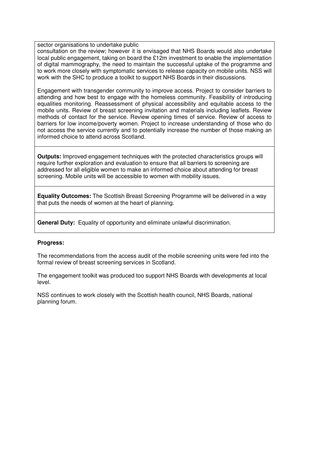#### sector organisations to undertake public

consultation on the review; however it is envisaged that NHS Boards would also undertake local public engagement, taking on board the £12m investment to enable the implementation of digital mammography, the need to maintain the successful uptake of the programme and to work more closely with symptomatic services to release capacity on mobile units. NSS will work with the SHC to produce a toolkit to support NHS Boards in their discussions.

Engagement with transgender community to improve access. Project to consider barriers to attending and how best to engage with the homeless community. Feasibility of introducing equalities monitoring. Reassessment of physical accessibility and equitable access to the mobile units. Review of breast screening invitation and materials including leaflets. Review methods of contact for the service. Review opening times of service. Review of access to barriers for low income/poverty women. Project to increase understanding of those who do not access the service currently and to potentially increase the number of those making an informed choice to attend across Scotland.

**Outputs:** Improved engagement techniques with the protected characteristics groups will require further exploration and evaluation to ensure that all barriers to screening are addressed for all eligible women to make an informed choice about attending for breast screening. Mobile units will be accessible to women with mobility issues.

**Equality Outcomes:** The Scottish Breast Screening Programme will be delivered in a way that puts the needs of women at the heart of planning.

**General Duty:** Equality of opportunity and eliminate unlawful discrimination.

### **Progress:**

The recommendations from the access audit of the mobile screening units were fed into the formal review of breast screening services in Scotland.

The engagement toolkit was produced too support NHS Boards with developments at local level.

NSS continues to work closely with the Scottish health council, NHS Boards, national planning forum.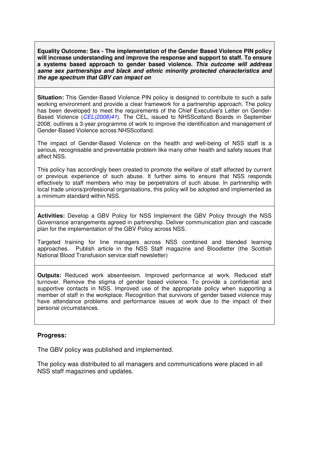**Equality Outcome: Sex - The implementation of the Gender Based Violence PIN policy will increase understanding and improve the response and support to staff. To ensure a systems based approach to gender based violence. This outcome will address same sex partnerships and black and ethnic minority protected characteristics and the age spectrum that GBV can impact on** 

**Situation:** This Gender-Based Violence PIN policy is designed to contribute to such a safe working environment and provide a clear framework for a partnership approach. The policy has been developed to meet the requirements of the Chief Executive's Letter on Gender-Based Violence (CEL(2008)41). The CEL, issued to NHSScotland Boards in September 2008, outlines a 3-year programme of work to improve the identification and management of Gender-Based Violence across NHSScotland.

The impact of Gender-Based Violence on the health and well-being of NSS staff is a serious, recognisable and preventable problem like many other health and safety issues that affect NSS.

This policy has accordingly been created to promote the welfare of staff affected by current or previous experience of such abuse. It further aims to ensure that NSS responds effectively to staff members who may be perpetrators of such abuse. In partnership with local trade unions/professional organisations, this policy will be adopted and implemented as a minimum standard within NSS.

**Activities:** Develop a GBV Policy for NSS Implement the GBV Policy through the NSS Governance arrangements agreed in partnership. Deliver communication plan and cascade plan for the implementation of the GBV Policy across NSS.

Targeted training for line managers across NSS combined and blended learning approaches. Publish article in the NSS Staff magazine and Bloodletter (the Scottish National Blood Transfusion service staff newsletter)

**Outputs:** Reduced work absenteeism. Improved performance at work. Reduced staff turnover. Remove the stigma of gender based violence. To provide a confidential and supportive contacts in NSS. Improved use of the appropriate policy when supporting a member of staff in the workplace. Recognition that survivors of gender based violence may have attendance problems and performance issues at work due to the impact of their personal circumstances.

### **Progress:**

The GBV policy was published and implemented.

The policy was distributed to all managers and communications were placed in all NSS staff magazines and updates.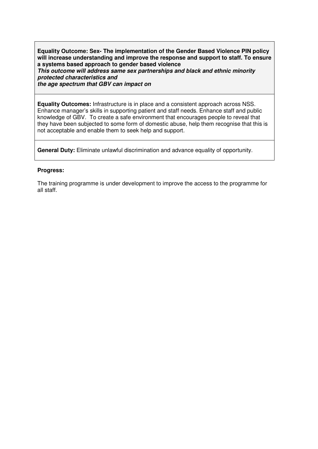**Equality Outcome: Sex- The implementation of the Gender Based Violence PIN policy will increase understanding and improve the response and support to staff. To ensure a systems based approach to gender based violence This outcome will address same sex partnerships and black and ethnic minority** 

**protected characteristics and the age spectrum that GBV can impact on** 

not acceptable and enable them to seek help and support.

**Equality Outcomes:** Infrastructure is in place and a consistent approach across NSS. Enhance manager's skills in supporting patient and staff needs. Enhance staff and public knowledge of GBV. To create a safe environment that encourages people to reveal that they have been subjected to some form of domestic abuse, help them recognise that this is

**General Duty:** Eliminate unlawful discrimination and advance equality of opportunity.

### **Progress:**

The training programme is under development to improve the access to the programme for all staff.